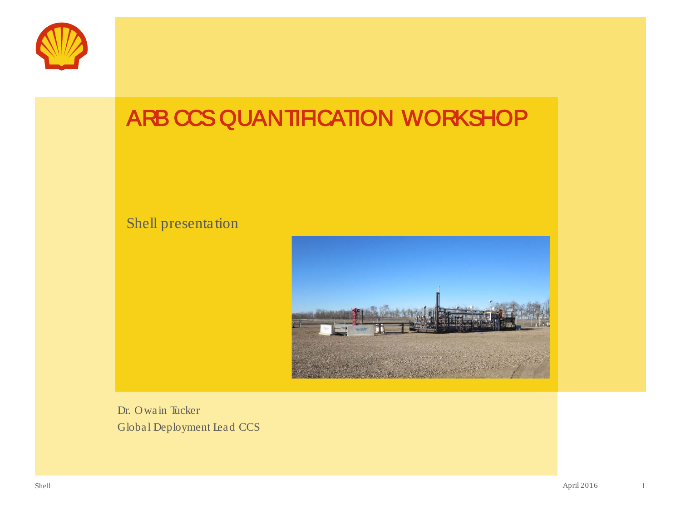

# ARB CCS QUANTIFICATION WORKSHOP

#### Shell presentation



Dr. Owain Tucker Global Deployment Lead CCS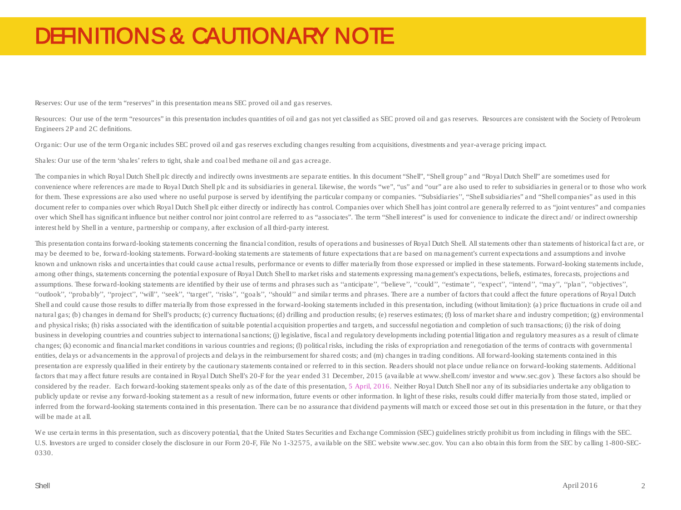### DEFINITIONS & CAUTIONARY NOTE

Reserves: Our use of the term "reserves" in this presentation means SEC proved oil and gas reserves.

Resources: Our use of the term "resources" in this presentation includes quantities of oil and gas not yet classified as SEC proved oil and gas reserves. Resources are consistent with the Society of Petroleum Engineers 2P and 2C definitions.

Organic: Our use of the term Organic includes SEC proved oil and gas reserves excluding changes resulting from acquisitions, divestments and year-average pricing impact.

Shales: Our use of the term 'shales' refers to tight, shale and coal bed methane oil and gas acreage.

The companies in which Royal Dutch Shell plc directly and indirectly owns investments are separate entities. In this document "Shell", "Shell group" and "Royal Dutch Shell" are sometimes used for convenience where references are made to Royal Dutch Shell plc and its subsidiaries in general. Likewise, the words "we", "us" and "our" are also used to refer to subsidiaries in general or to those who work for them. These expressions are also used where no useful purpose is served by identifying the particular company or companies. "Subsidiaries", "Shell subsidiaries" and "Shell companies" as used in this document refer to companies over which Royal Dutch Shell plc either directly or indirectly has control. Companies over which Shell has joint control are generally referred to as "joint ventures" and companies over which Shell has significant influence but neither control nor joint control are referred to as "associates". The term "Shell interest" is used for convenience to indicate the direct and/ or indirect ownership interest held by Shell in a venture, partnership or company, after exclusion of all third-party interest.

This presentation contains forward-looking statements concerning the financial condition, results of operations and businesses of Royal Dutch Shell. All statements other than statements of historical fact are, or may be deemed to be, forward-looking statements. Forward-looking statements are statements of future expectations that are based on management's current expectations and assumptions and involve known and unknown risks and uncertainties that could cause actual results, performance or events to differ materially from those expressed or implied in these statements. Forward-looking statements include, among other things, statements concerning the potential exposure of Royal Dutch Shell to market risks and statements expressing management's expectations, beliefs, estimates, forecasts, projections and assumptions. These forward-looking statements are identified by their use of terms and phrases such as "anticipate", "believe", "could", "estimate", "expect", "intend", "may", "plan", "objectives", ''outlook'', ''probably'', ''project'', ''will'', ''seek'', ''target'', ''risks'', ''goals'', ''should'' and similar terms and phrases. There are a number of factors that could affect the future operations of Royal Dutch Shell and could cause those results to differ materially from those expressed in the forward-looking statements included in this presentation, including (without limitation): (a) price fluctuations in crude oil and natural gas; (b) changes in demand for Shell's products; (c) currency fluctuations; (d) drilling and production results; (e) reserves estimates; (f) loss of market share and industry competition; (g) environmental and physical risks; (h) risks associated with the identification of suitable potential acquisition properties and targets, and successful negotiation and completion of such transactions; (i) the risk of doing business in developing countries and countries subject to international sanctions; (j) legislative, fiscal and regulatory developments including potential litigation and regulatory measures as a result of climate changes; (k) economic and financial market conditions in various countries and regions; (l) political risks, including the risks of expropriation and renegotiation of the terms of contracts with governmental entities, delays or advancements in the approval of projects and delays in the reimbursement for shared costs; and (m) changes in trading conditions. All forward-looking statements contained in this presentation are expressly qualified in their entirety by the cautionary statements contained or referred to in this section. Readers should not place undue reliance on forward-looking statements. Additional factors that may affect future results are contained in Royal Dutch Shell's 20-F for the year ended 31 December, 2015 (available at www.shell.com/ investor and www.sec.gov). These factors also should be considered by the reader. Each forward-looking statement speaks only as of the date of this presentation, 5 April, 2016. Neither Royal Dutch Shell nor any of its subsidiaries undertake any obligation to publicly update or revise any forward-looking statement as a result of new information, future events or other information. In light of these risks, results could differ materially from those stated, implied or inferred from the forward-looking statements contained in this presentation. There can be no assurance that dividend payments will match or exceed those set out in this presentation in the future, or that they will be made at all.

We use certain terms in this presentation, such as discovery potential, that the United States Securities and Exchange Commission (SEC) guidelines strictly prohibit us from including in filings with the SEC. U.S. Investors are urged to consider closely the disclosure in our Form 20-F, File No 1-32575, available on the SEC website www.sec.gov. You can also obtain this form from the SEC by calling 1-800-SEC-0330.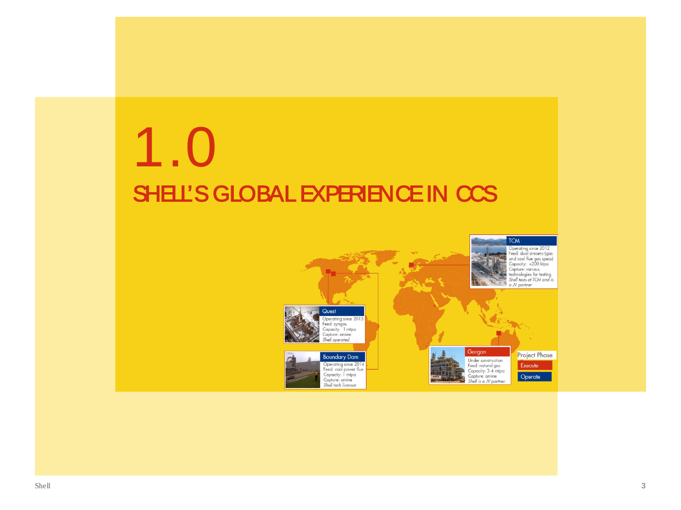# SHELL'S GLOBAL EXPERIENCE IN CCS 1.0

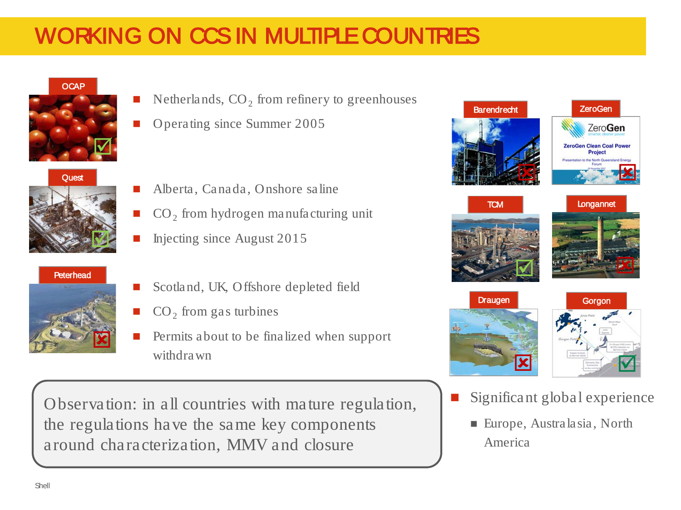# WORKING ON CCS IN MULTIPLE COUNTRIES

#### **OCAP**







- Netherlands,  $CO<sub>2</sub>$  from refinery to greenhouses
- Operating since Summer 2005
- Alberta, Canada, Onshore saline
- CO<sub>2</sub> from hydrogen manufacturing unit
- Injecting since August 2015
- Scotland, UK, Offshore depleted field
- $CO<sub>2</sub>$  from gas turbines
- Permits about to be finalized when support withdrawn

Observation: in all countries with mature regulation, the regulations have the same key components around characterization, MMV and closure



- Europe, Australasia, North
	- America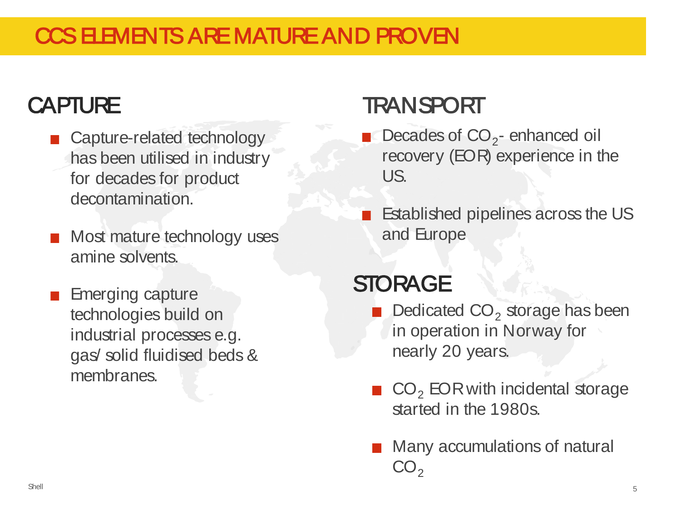## CCS ELEMENTS ARE MATURE AND PROVEN

# **CAPTURE**

- Capture-related technology has been utilised in industry for decades for product decontamination.
- **Most mature technology uses** amine solvents.
- **Emerging capture** technologies build on industrial processes e.g. gas/ solid fluidised beds & membranes.

# **TRANSPORT**

- Decades of  $CO<sub>2</sub>$  enhanced oil recovery (EOR) experience in the US.
- Established pipelines across the US and Europe

# **STORAGE**

- Dedicated  $CO<sub>2</sub>$  storage has been in operation in Norway for nearly 20 years.
- $\blacksquare$  CO<sub>2</sub> EOR with incidental storage started in the 1980s.
- **Many accumulations of natural**  $CO<sub>2</sub>$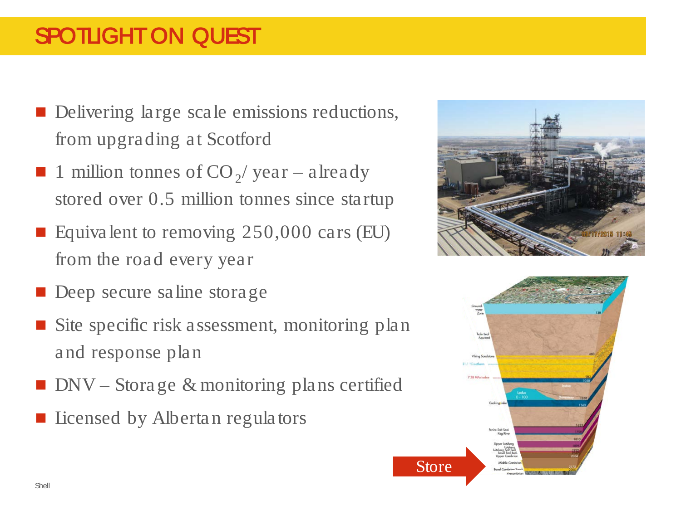## SPOTLIGHT ON QUEST

- Delivering large scale emissions reductions, from upgrading at Scotford
- 1 million tonnes of  $CO_2$ / year already stored over 0.5 million tonnes since startup
- Equivalent to removing  $250,000$  cars (EU) from the road every year
- Deep secure saline storage
- Site specific risk assessment, monitoring plan and response plan
- $\blacksquare$  DNV Storage & monitoring plans certified
- Licensed by Albertan regulators



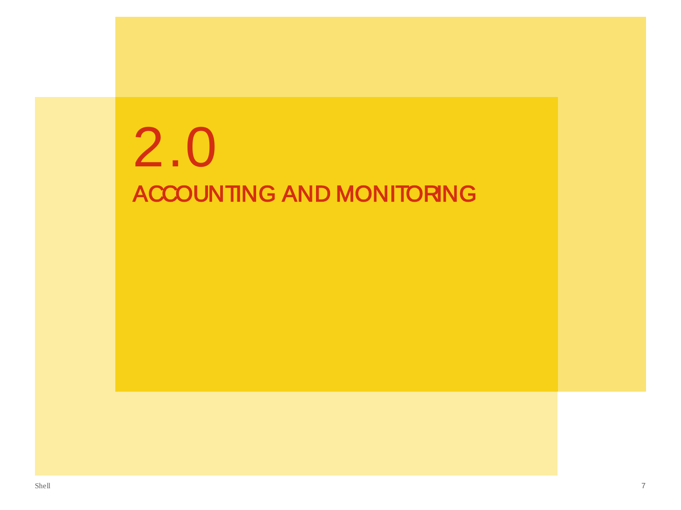# ACCOUNTING AND MONITORING 2.0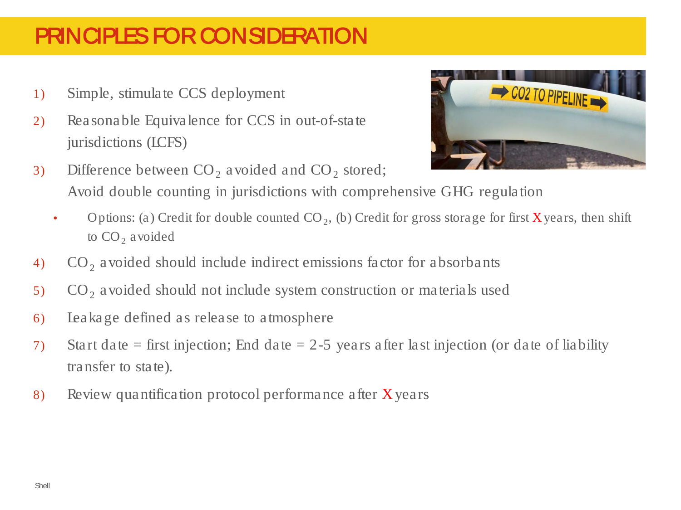## PRINCIPLES FOR CONSIDERATION

- 1) Simple, stimulate CCS deployment
- 2) Reasonable Equivalence for CCS in out-of-state jurisdictions (LCFS)
- 3) Difference between  $CO<sub>2</sub>$  avoided and  $CO<sub>2</sub>$  stored; Avoid double counting in jurisdictions with comprehensive GHG regulation
	- Options: (a) Credit for double counted  $CO<sub>2</sub>$ , (b) Credit for gross storage for first **X** years, then shift to  $CO<sub>2</sub>$  avoided
- 4)  $CO<sub>2</sub>$  avoided should include indirect emissions factor for absorbants
- 5) CO<sub>2</sub> avoided should not include system construction or materials used
- 6) Leakage defined as release to atmosphere
- 7) Start date = first injection; End date = 2-5 years after last injection (or date of liability transfer to state).
- 8) Review quantification protocol performance after Xyears

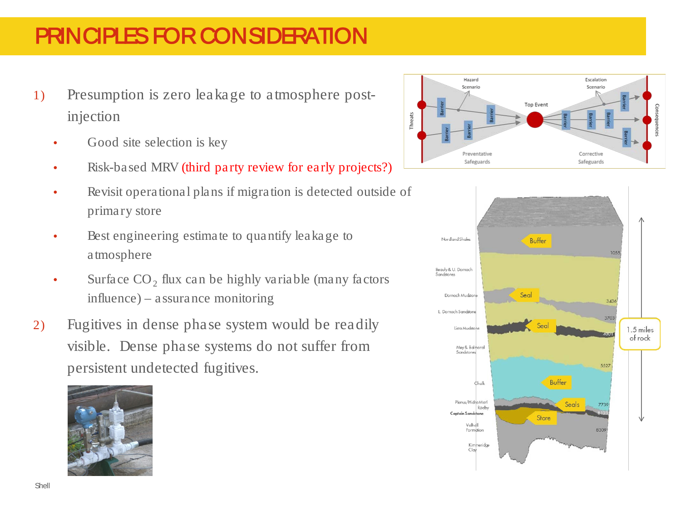### PRINCIPLES FOR CONSIDERATION

- 1) Presumption is zero leakage to atmosphere postinjection
	- Good site selection is key
	- Risk-based MRV (third party review for early projects?)
	- Revisit operational plans if migration is detected outside of primary store
	- Best engineering estimate to quantify leakage to atmosphere
	- Surface  $CO<sub>2</sub>$  flux can be highly variable (many factors influence) – assurance monitoring
- 2) Fugitives in dense phase system would be readily visible. Dense phase systems do not suffer from persistent undetected fugitives.





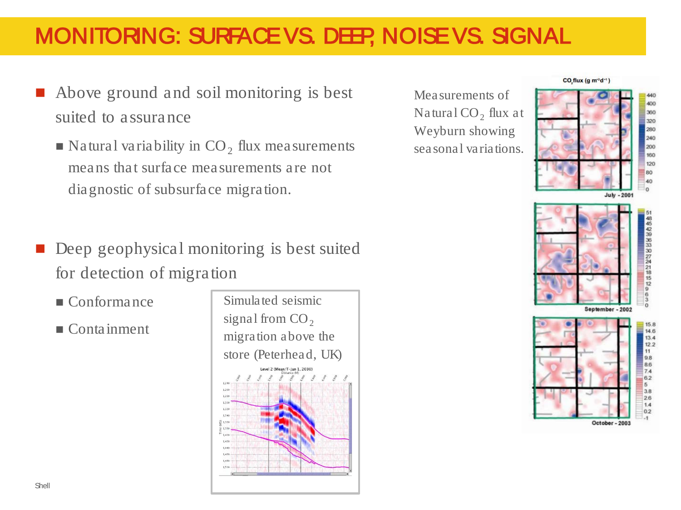### MONITORING: SURFACE VS. DEEP, NOISE VS. SIGNAL

- Above ground and soil monitoring is best suited to assurance
	- $\blacksquare$  Natural variability in CO<sub>2</sub> flux measurements means that surface measurements are not diagnostic of subsurface migration.
- Deep geophysical monitoring is best suited for detection of migration
	- Conformance
	- Containment

Simulated seismic signal from  $CO<sub>2</sub>$ migration above the store (Peterhead, UK)evel 2 (Mean/T-Jan 1, 2030)

Measurements of Natural  $CO<sub>2</sub>$  flux at Weyburn showing seasonal variations.



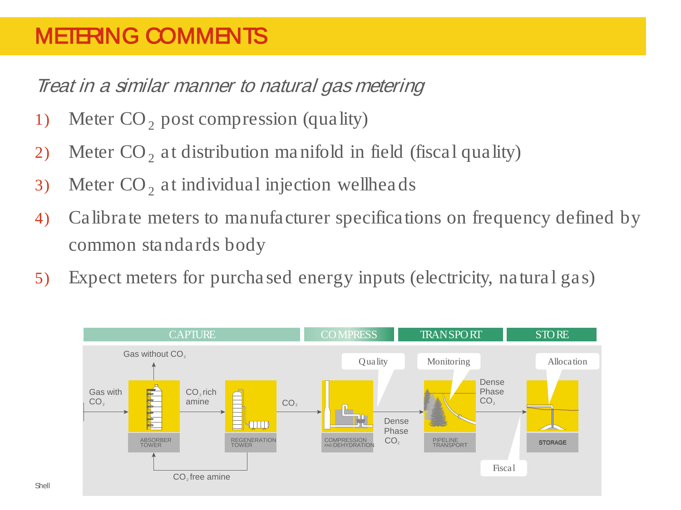### METERING COMMENTS

Treat in a similar manner to natural gas metering

- 1) Meter  $CO<sub>2</sub>$  post compression (quality)
- 2) Meter  $CO<sub>2</sub>$  at distribution manifold in field (fiscal quality)
- 3) Meter  $CO<sub>2</sub>$  at individual injection wellheads
- 4) Calibrate meters to manufacturer specifications on frequency defined by common standards body
- 5) Expect meters for purchased energy inputs (electricity, natural gas)